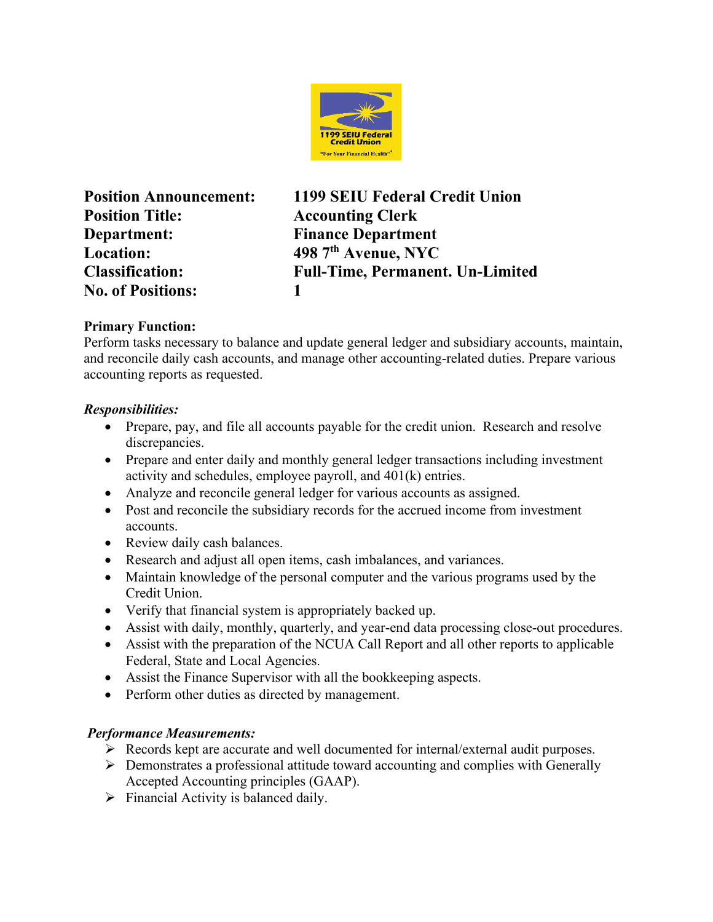

**Position Title: Accounting Clerk Department: Finance Department Location: 498 7th Avenue, NYC No. of Positions: 1**

**Position Announcement: 1199 SEIU Federal Credit Union Classification: Full-Time, Permanent. Un-Limited**

### **Primary Function:**

Perform tasks necessary to balance and update general ledger and subsidiary accounts, maintain, and reconcile daily cash accounts, and manage other accounting-related duties. Prepare various accounting reports as requested.

## *Responsibilities:*

- Prepare, pay, and file all accounts payable for the credit union. Research and resolve discrepancies.
- Prepare and enter daily and monthly general ledger transactions including investment activity and schedules, employee payroll, and 401(k) entries.
- Analyze and reconcile general ledger for various accounts as assigned.
- Post and reconcile the subsidiary records for the accrued income from investment accounts.
- Review daily cash balances.
- Research and adjust all open items, cash imbalances, and variances.
- Maintain knowledge of the personal computer and the various programs used by the Credit Union.
- Verify that financial system is appropriately backed up.
- Assist with daily, monthly, quarterly, and year-end data processing close-out procedures.
- Assist with the preparation of the NCUA Call Report and all other reports to applicable Federal, State and Local Agencies.
- Assist the Finance Supervisor with all the bookkeeping aspects.
- Perform other duties as directed by management.

# *Performance Measurements:*

- Records kept are accurate and well documented for internal/external audit purposes.
- $\triangleright$  Demonstrates a professional attitude toward accounting and complies with Generally Accepted Accounting principles (GAAP).
- $\triangleright$  Financial Activity is balanced daily.